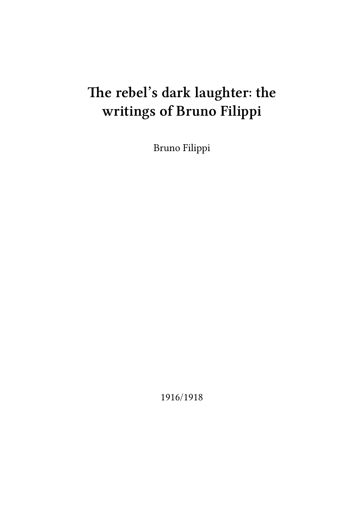# **The rebel's dark laughter: the writings of Bruno Filippi**

Bruno Filippi

1916/1918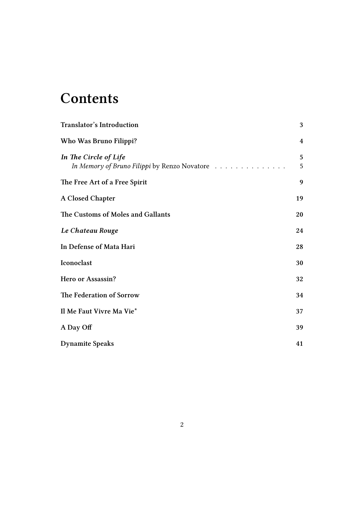## **Contents**

| <b>Translator's Introduction</b>                                      | 3      |
|-----------------------------------------------------------------------|--------|
| Who Was Bruno Filippi?                                                | 4      |
| In The Circle of Life<br>In Memory of Bruno Filippi by Renzo Novatore | 5<br>5 |
| The Free Art of a Free Spirit                                         | 9      |
| A Closed Chapter                                                      | 19     |
| The Customs of Moles and Gallants                                     | 20     |
| Le Chateau Rouge                                                      | 24     |
| In Defense of Mata Hari                                               | 28     |
| Iconoclast                                                            | 30     |
| Hero or Assassin?                                                     | 32     |
| The Federation of Sorrow                                              | 34     |
| Il Me Faut Vivre Ma Vie*                                              | 37     |
| A Day Off                                                             | 39     |
| <b>Dynamite Speaks</b>                                                | 41     |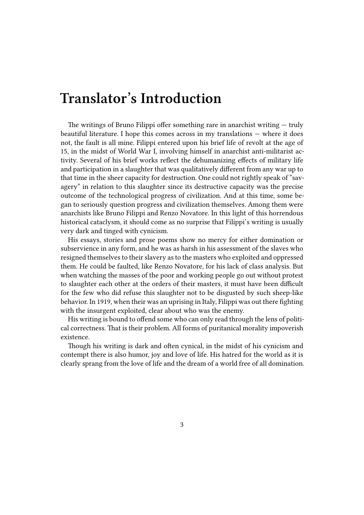### <span id="page-2-0"></span>**Translator's Introduction**

The writings of Bruno Filippi offer something rare in anarchist writing  $-$  truly beautiful literature. I hope this comes across in my translations — where it does not, the fault is all mine. Filippi entered upon his brief life of revolt at the age of 15, in the midst of World War I, involving himself in anarchist anti-militarist activity. Several of his brief works reflect the dehumanizing effects of military life and participation in a slaughter that was qualitatively different from any war up to that time in the sheer capacity for destruction. One could not rightly speak of "savagery" in relation to this slaughter since its destructive capacity was the precise outcome of the technological progress of civilization. And at this time, some began to seriously question progress and civilization themselves. Among them were anarchists like Bruno Filippi and Renzo Novatore. In this light of this horrendous historical cataclysm, it should come as no surprise that Filippi's writing is usually very dark and tinged with cynicism.

His essays, stories and prose poems show no mercy for either domination or subservience in any form, and he was as harsh in his assessment of the slaves who resigned themselves to their slavery as to the masters who exploited and oppressed them. He could be faulted, like Renzo Novatore, for his lack of class analysis. But when watching the masses of the poor and working people go out without protest to slaughter each other at the orders of their masters, it must have been difficult for the few who did refuse this slaughter not to be disgusted by such sheep-like behavior. In 1919, when their was an uprising in Italy, Filippi was out there fighting with the insurgent exploited, clear about who was the enemy.

His writing is bound to offend some who can only read through the lens of political correctness. That is their problem. All forms of puritanical morality impoverish existence.

Though his writing is dark and often cynical, in the midst of his cynicism and contempt there is also humor, joy and love of life. His hatred for the world as it is clearly sprang from the love of life and the dream of a world free of all domination.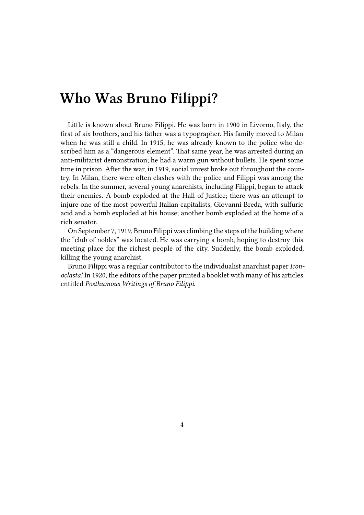#### <span id="page-3-0"></span>**Who Was Bruno Filippi?**

Little is known about Bruno Filippi. He was born in 1900 in Livorno, Italy, the first of six brothers, and his father was a typographer. His family moved to Milan when he was still a child. In 1915, he was already known to the police who described him as a "dangerous element". That same year, he was arrested during an anti-militarist demonstration; he had a warm gun without bullets. He spent some time in prison. After the war, in 1919, social unrest broke out throughout the country. In Milan, there were often clashes with the police and Filippi was among the rebels. In the summer, several young anarchists, including Filippi, began to attack their enemies. A bomb exploded at the Hall of Justice; there was an attempt to injure one of the most powerful Italian capitalists, Giovanni Breda, with sulfuric acid and a bomb exploded at his house; another bomb exploded at the home of a rich senator.

On September 7, 1919, Bruno Filippi was climbing the steps of the building where the "club of nobles" was located. He was carrying a bomb, hoping to destroy this meeting place for the richest people of the city. Suddenly, the bomb exploded, killing the young anarchist.

Bruno Filippi was a regular contributor to the individualist anarchist paper *Iconoclasta!* In 1920, the editors of the paper printed a booklet with many of his articles entitled *Posthumous Writings of Bruno Filippi.*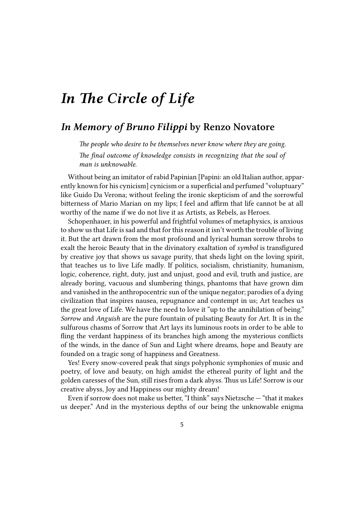## <span id="page-4-0"></span>*In The Circle of Life*

#### <span id="page-4-1"></span>*In Memory of Bruno Filippi* **by Renzo Novatore**

*The people who desire to be themselves never know where they are going.*

*The final outcome of knowledge consists in recognizing that the soul of man is unknowable.*

Without being an imitator of rabid Papinian [Papini: an old Italian author, apparently known for his cynicism] cynicism or a superficial and perfumed "voluptuary" like Guido Da Verona; without feeling the ironic skepticism of and the sorrowful bitterness of Mario Marian on my lips; I feel and affirm that life cannot be at all worthy of the name if we do not live it as Artists, as Rebels, as Heroes.

Schopenhauer, in his powerful and frightful volumes of metaphysics, is anxious to show us that Life is sad and that for this reason it isn't worth the trouble of living it. But the art drawn from the most profound and lyrical human sorrow throbs to exalt the heroic Beauty that in the divinatory exaltation of *symbol* is transfigured by creative joy that shows us savage purity, that sheds light on the loving spirit, that teaches us to live Life madly. If politics, socialism, christianity, humanism, logic, coherence, right, duty, just and unjust, good and evil, truth and justice, are already boring, vacuous and slumbering things, phantoms that have grown dim and vanished in the anthropocentric sun of the unique negator; parodies of a dying civilization that inspires nausea, repugnance and contempt in us; Art teaches us the great love of Life. We have the need to love it "up to the annihilation of being." *Sorrow* and *Anguish* are the pure fountain of pulsating Beauty for Art. It is in the sulfurous chasms of Sorrow that Art lays its luminous roots in order to be able to fling the verdant happiness of its branches high among the mysterious conflicts of the winds, in the dance of Sun and Light where dreams, hope and Beauty are founded on a tragic song of happiness and Greatness.

Yes! Every snow-covered peak that sings polyphonic symphonies of music and poetry, of love and beauty, on high amidst the ethereal purity of light and the golden caresses of the Sun, still rises from a dark abyss. Thus us Life! Sorrow is our creative abyss, Joy and Happiness our mighty dream!

Even if sorrow does not make us better, "I think" says Nietzsche — "that it makes us deeper." And in the mysterious depths of our being the unknowable enigma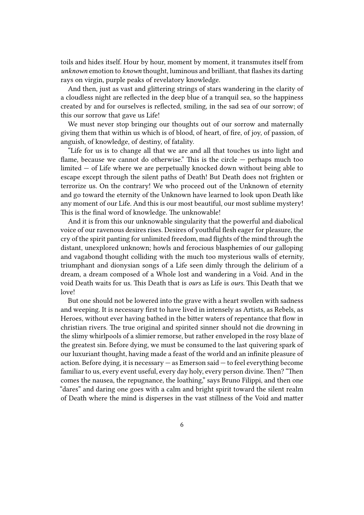toils and hides itself. Hour by hour, moment by moment, it transmutes itself from *unknown* emotion to *known* thought, luminous and brilliant, that flashes its darting rays on virgin, purple peaks of revelatory knowledge.

And then, just as vast and glittering strings of stars wandering in the clarity of a cloudless night are reflected in the deep blue of a tranquil sea, so the happiness created by and for ourselves is reflected, smiling, in the sad sea of our sorrow; of this our sorrow that gave us Life!

We must never stop bringing our thoughts out of our sorrow and maternally giving them that within us which is of blood, of heart, of fire, of joy, of passion, of anguish, of knowledge, of destiny, of fatality.

"Life for us is to change all that we are and all that touches us into light and flame, because we cannot do otherwise." This is the circle — perhaps much too limited — of Life where we are perpetually knocked down without being able to escape except through the silent paths of Death! But Death does not frighten or terrorize us. On the contrary! We who proceed out of the Unknown of eternity and go toward the eternity of the Unknown have learned to look upon Death like any moment of our Life. And this is our most beautiful, our most sublime mystery! This is the final word of knowledge. The unknowable!

And it is from this our unknowable singularity that the powerful and diabolical voice of our ravenous desires rises. Desires of youthful flesh eager for pleasure, the cry of the spirit panting for unlimited freedom, mad flights of the mind through the distant, unexplored unknown; howls and ferocious blasphemies of our galloping and vagabond thought colliding with the much too mysterious walls of eternity, triumphant and dionysian songs of a Life seen dimly through the delirium of a dream, a dream composed of a Whole lost and wandering in a Void. And in the void Death waits for us. This Death that is *ours* as Life is *ours.* This Death that we love!

But one should not be lowered into the grave with a heart swollen with sadness and weeping. It is necessary first to have lived in intensely as Artists, as Rebels, as Heroes, without ever having bathed in the bitter waters of repentance that flow in christian rivers. The true original and spirited sinner should not die drowning in the slimy whirlpools of a slimier remorse, but rather enveloped in the rosy blaze of the greatest sin. Before dying, we must be consumed to the last quivering spark of our luxuriant thought, having made a feast of the world and an infinite pleasure of action. Before dying, it is necessary — as Emerson said — to feel everything become familiar to us, every event useful, every day holy, every person divine. Then? "Then comes the nausea, the repugnance, the loathing," says Bruno Filippi, and then one "dares" and daring one goes with a calm and bright spirit toward the silent realm of Death where the mind is disperses in the vast stillness of the Void and matter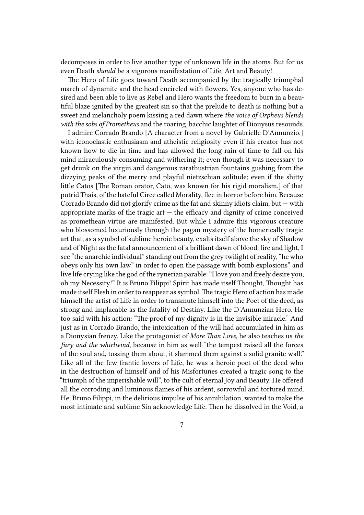decomposes in order to live another type of unknown life in the atoms. But for us even Death *should* be a vigorous manifestation of Life, Art and Beauty!

The Hero of Life goes toward Death accompanied by the tragically triumphal march of dynamite and the head encircled with flowers. Yes, anyone who has desired and been able to live as Rebel and Hero wants the freedom to burn in a beautiful blaze ignited by the greatest sin so that the prelude to death is nothing but a sweet and melancholy poem kissing a red dawn where *the voice of Orpheus blends with the sobs of Prometheus* and the roaring, bacchic laughter of Dionysus resounds.

I admire Corrado Brando [A character from a novel by Gabrielle D'Annunzio.] with iconoclastic enthusiasm and atheistic religiosity even if his creator has not known how to die in time and has allowed the long rain of time to fall on his mind miraculously consuming and withering it; even though it was necessary to get drunk on the virgin and dangerous zarathustrian fountains gushing from the dizzying peaks of the merry and playful nietzschian solitude; even if the shitty little Catos [The Roman orator, Cato, was known for his rigid moralism.] of that putrid Thais, of the hateful Circe called Morality, flee in horror before him. Because Corrado Brando did not glorify crime as the fat and skinny idiots claim, but — with appropriate marks of the tragic art  $-$  the efficacy and dignity of crime conceived as promethean virtue are manifested. But while I admire this vigorous creature who blossomed luxuriously through the pagan mystery of the homerically tragic art that, as a symbol of sublime heroic beauty, exalts itself above the sky of Shadow and of Night as the fatal announcement of a brilliant dawn of blood, fire and light, I see "the anarchic individual" standing out from the grey twilight of reality, "he who obeys only his own law" in order to open the passage with bomb explosions" and live life crying like the god of the rynerian parable: "I love you and freely desire you, oh my Necessity!" It is Bruno Filippi! Spirit has made itself Thought, Thought has made itself Flesh in order to reappear as symbol. The tragic Hero of action has made himself the artist of Life in order to transmute himself into the Poet of the deed, as strong and implacable as the fatality of Destiny. Like the D'Annunzian Hero. He too said with his action: "The proof of my dignity is in the invisible miracle." And just as in Corrado Brando, the intoxication of the will had accumulated in him as a Dionysian frenzy. Like the protagonist of *More Than Love,* he also teaches us *the fury and the whirlwind,* because in him as well "the tempest raised all the forces of the soul and, tossing them about, it slammed them against a solid granite wall." Like all of the few frantic lovers of Life, he was a heroic poet of the deed who in the destruction of himself and of his Misfortunes created a tragic song to the "triumph of the imperishable will", to the cult of eternal Joy and Beauty. He offered all the corroding and luminous flames of his ardent, sorrowful and tortured mind. He, Bruno Filippi, in the delirious impulse of his annihilation, wanted to make the most intimate and sublime Sin acknowledge Life. Then he dissolved in the Void, a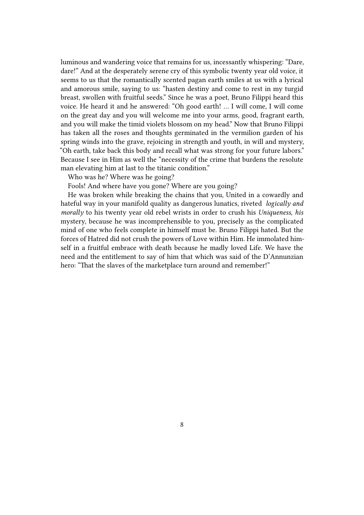luminous and wandering voice that remains for us, incessantly whispering: "Dare, dare!" And at the desperately serene cry of this symbolic twenty year old voice, it seems to us that the romantically scented pagan earth smiles at us with a lyrical and amorous smile, saying to us: "hasten destiny and come to rest in my turgid breast, swollen with fruitful seeds." Since he was a poet, Bruno Filippi heard this voice. He heard it and he answered: "Oh good earth! … I will come, I will come on the great day and you will welcome me into your arms, good, fragrant earth, and you will make the timid violets blossom on my head." Now that Bruno Filippi has taken all the roses and thoughts germinated in the vermilion garden of his spring winds into the grave, rejoicing in strength and youth, in will and mystery, "Oh earth, take back this body and recall what was strong for your future labors." Because I see in Him as well the "necessity of the crime that burdens the resolute man elevating him at last to the titanic condition."

Who was he? Where was he going?

Fools! And where have you gone? Where are you going?

He was broken while breaking the chains that you, United in a cowardly and hateful way in your manifold quality as dangerous lunatics, riveted *logically and morally* to his twenty year old rebel wrists in order to crush his *Uniqueness, his* mystery, because he was incomprehensible to you, precisely as the complicated mind of one who feels complete in himself must be. Bruno Filippi hated. But the forces of Hatred did not crush the powers of Love within Him. He immolated himself in a fruitful embrace with death because he madly loved Life. We have the need and the entitlement to say of him that which was said of the D'Annunzian hero: "That the slaves of the marketplace turn around and remember!"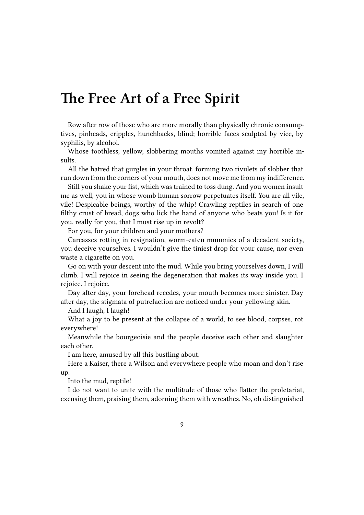#### <span id="page-8-0"></span>**The Free Art of a Free Spirit**

Row after row of those who are more morally than physically chronic consumptives, pinheads, cripples, hunchbacks, blind; horrible faces sculpted by vice, by syphilis, by alcohol.

Whose toothless, yellow, slobbering mouths vomited against my horrible insults.

All the hatred that gurgles in your throat, forming two rivulets of slobber that run down from the corners of your mouth, does not move me from my indifference.

Still you shake your fist, which was trained to toss dung. And you women insult me as well, you in whose womb human sorrow perpetuates itself. You are all vile, vile! Despicable beings, worthy of the whip! Crawling reptiles in search of one filthy crust of bread, dogs who lick the hand of anyone who beats you! Is it for you, really for you, that I must rise up in revolt?

For you, for your children and your mothers?

Carcasses rotting in resignation, worm-eaten mummies of a decadent society, you deceive yourselves. I wouldn't give the tiniest drop for your cause, nor even waste a cigarette on you.

Go on with your descent into the mud. While you bring yourselves down, I will climb. I will rejoice in seeing the degeneration that makes its way inside you. I rejoice. I rejoice.

Day after day, your forehead recedes, your mouth becomes more sinister. Day after day, the stigmata of putrefaction are noticed under your yellowing skin.

And I laugh, I laugh!

What a joy to be present at the collapse of a world, to see blood, corpses, rot everywhere!

Meanwhile the bourgeoisie and the people deceive each other and slaughter each other.

I am here, amused by all this bustling about.

Here a Kaiser, there a Wilson and everywhere people who moan and don't rise up.

Into the mud, reptile!

I do not want to unite with the multitude of those who flatter the proletariat, excusing them, praising them, adorning them with wreathes. No, oh distinguished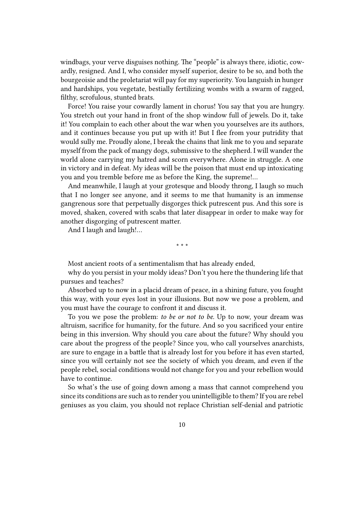windbags, your verve disguises nothing. The "people" is always there, idiotic, cowardly, resigned. And I, who consider myself superior, desire to be so, and both the bourgeoisie and the proletariat will pay for my superiority. You languish in hunger and hardships, you vegetate, bestially fertilizing wombs with a swarm of ragged, filthy, scrofulous, stunted brats.

Force! You raise your cowardly lament in chorus! You say that you are hungry. You stretch out your hand in front of the shop window full of jewels. Do it, take it! You complain to each other about the war when you yourselves are its authors, and it continues because you put up with it! But I flee from your putridity that would sully me. Proudly alone, I break the chains that link me to you and separate myself from the pack of mangy dogs, submissive to the shepherd. I will wander the world alone carrying my hatred and scorn everywhere. Alone in struggle. A one in victory and in defeat. My ideas will be the poison that must end up intoxicating you and you tremble before me as before the King, the supreme!…

And meanwhile, I laugh at your grotesque and bloody throng, I laugh so much that I no longer see anyone, and it seems to me that humanity is an immense gangrenous sore that perpetually disgorges thick putrescent pus. And this sore is moved, shaken, covered with scabs that later disappear in order to make way for another disgorging of putrescent matter.

And I laugh and laugh!…

\* \* \*

Most ancient roots of a sentimentalism that has already ended,

why do you persist in your moldy ideas? Don't you here the thundering life that pursues and teaches?

Absorbed up to now in a placid dream of peace, in a shining future, you fought this way, with your eyes lost in your illusions. But now we pose a problem, and you must have the courage to confront it and discuss it.

To you we pose the problem: *to be or not to be.* Up to now, your dream was altruism, sacrifice for humanity, for the future. And so you sacrificed your entire being in this inversion. Why should you care about the future? Why should you care about the progress of the people? Since you, who call yourselves anarchists, are sure to engage in a battle that is already lost for you before it has even started, since you will certainly not see the society of which you dream, and even if the people rebel, social conditions would not change for you and your rebellion would have to continue.

So what's the use of going down among a mass that cannot comprehend you since its conditions are such as to render you unintelligible to them? If you are rebel geniuses as you claim, you should not replace Christian self-denial and patriotic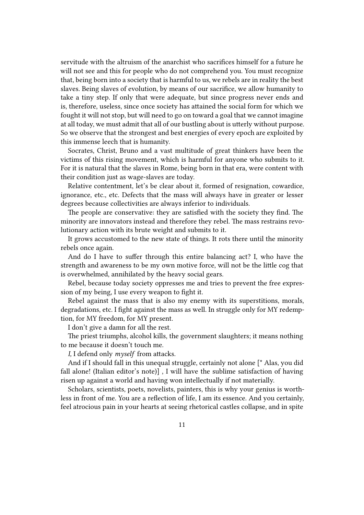servitude with the altruism of the anarchist who sacrifices himself for a future he will not see and this for people who do not comprehend you. You must recognize that, being born into a society that is harmful to us, we rebels are in reality the best slaves. Being slaves of evolution, by means of our sacrifice, we allow humanity to take a tiny step. If only that were adequate, but since progress never ends and is, therefore, useless, since once society has attained the social form for which we fought it will not stop, but will need to go on toward a goal that we cannot imagine at all today, we must admit that all of our bustling about is utterly without purpose. So we observe that the strongest and best energies of every epoch are exploited by this immense leech that is humanity.

Socrates, Christ, Bruno and a vast multitude of great thinkers have been the victims of this rising movement, which is harmful for anyone who submits to it. For it is natural that the slaves in Rome, being born in that era, were content with their condition just as wage-slaves are today.

Relative contentment, let's be clear about it, formed of resignation, cowardice, ignorance, etc., etc. Defects that the mass will always have in greater or lesser degrees because collectivities are always inferior to individuals.

The people are conservative: they are satisfied with the society they find. The minority are innovators instead and therefore they rebel. The mass restrains revolutionary action with its brute weight and submits to it.

It grows accustomed to the new state of things. It rots there until the minority rebels once again.

And do I have to suffer through this entire balancing act? I, who have the strength and awareness to be my own motive force, will not be the little cog that is overwhelmed, annihilated by the heavy social gears.

Rebel, because today society oppresses me and tries to prevent the free expression of my being, I use every weapon to fight it.

Rebel against the mass that is also my enemy with its superstitions, morals, degradations, etc. I fight against the mass as well. In struggle only for MY redemption, for MY freedom, for MY present.

I don't give a damn for all the rest.

The priest triumphs, alcohol kills, the government slaughters; it means nothing to me because it doesn't touch me.

*I,* I defend only *myself* from attacks.

And if I should fall in this unequal struggle, certainly not alone [\* Alas, you did fall alone! (Italian editor's note)] , I will have the sublime satisfaction of having risen up against a world and having won intellectually if not materially.

Scholars, scientists, poets, novelists, painters, this is why your genius is worthless in front of me. You are a reflection of life, I am its essence. And you certainly, feel atrocious pain in your hearts at seeing rhetorical castles collapse, and in spite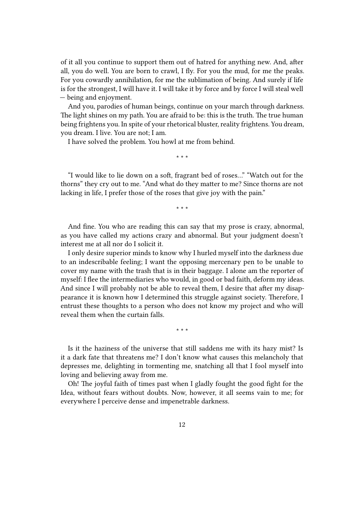of it all you continue to support them out of hatred for anything new. And, after all, you do well. You are born to crawl, I fly. For you the mud, for me the peaks. For you cowardly annihilation, for me the sublimation of being. And surely if life is for the strongest, I will have it. I will take it by force and by force I will steal well — being and enjoyment.

And you, parodies of human beings, continue on your march through darkness. The light shines on my path. You are afraid to be: this is the truth. The true human being frightens you. In spite of your rhetorical bluster, reality frightens. You dream, you dream. I live. You are not; I am.

I have solved the problem. You howl at me from behind.

\* \* \*

"I would like to lie down on a soft, fragrant bed of roses…" "Watch out for the thorns" they cry out to me. "And what do they matter to me? Since thorns are not lacking in life, I prefer those of the roses that give joy with the pain."

\* \* \*

And fine. You who are reading this can say that my prose is crazy, abnormal, as you have called my actions crazy and abnormal. But your judgment doesn't interest me at all nor do I solicit it.

I only desire superior minds to know why I hurled myself into the darkness due to an indescribable feeling; I want the opposing mercenary pen to be unable to cover my name with the trash that is in their baggage. I alone am the reporter of myself: I flee the intermediaries who would, in good or bad faith, deform my ideas. And since I will probably not be able to reveal them, I desire that after my disappearance it is known how I determined this struggle against society. Therefore, I entrust these thoughts to a person who does not know my project and who will reveal them when the curtain falls.

\* \* \*

Is it the haziness of the universe that still saddens me with its hazy mist? Is it a dark fate that threatens me? I don't know what causes this melancholy that depresses me, delighting in tormenting me, snatching all that I fool myself into loving and believing away from me.

Oh! The joyful faith of times past when I gladly fought the good fight for the Idea, without fears without doubts. Now, however, it all seems vain to me; for everywhere I perceive dense and impenetrable darkness.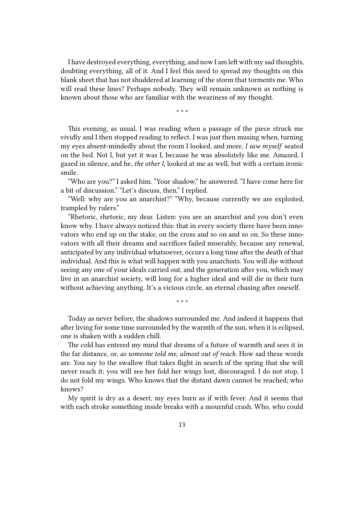I have destroyed everything, everything, and now I am left with my sad thoughts, doubting everything, all of it. And I feel this need to spread my thoughts on this blank sheet that has not shuddered at learning of the storm that torments me. Who will read these lines? Perhaps nobody. They will remain unknown as nothing is known about those who are familiar with the weariness of my thought.

\* \* \*

This evening, as usual, I was reading when a passage of the piece struck me vividly and I then stopped reading to reflect. I was just then musing when, turning my eyes absent-mindedly about the room I looked, and more, *I saw myself* seated on the bed. Not I, but yet it was I, because he was absolutely like me. Amazed, I gazed in silence, and he, *the other I,* looked at me as well, but with a certain ironic smile.

"Who are you?" I asked him. "Your shadow," he answered. "I have come here for a bit of discussion." "Let's discuss, then," I replied.

"Well: why are you an anarchist?" "Why, because currently we are exploited, trampled by rulers."

"Rhetoric, rhetoric, my dear. Listen: you are an anarchist and you don't even know why. I have always noticed this: that in every society there have been innovators who end up on the stake, on the cross and so on and so on. So these innovators with all their dreams and sacrifices failed miserably, because any renewal, anticipated by any individual whatsoever, occurs a long time after the death of that individual. And this is what will happen with you anarchists. You will die without seeing any one of your ideals carried out, and the generation after you, which may live in an anarchist society, will long for a higher ideal and will die in their turn without achieving anything. It's a vicious circle, an eternal chasing after oneself.

Today as never before, the shadows surrounded me. And indeed it happens that after living for some time surrounded by the warmth of the sun, when it is eclipsed, one is shaken with a sudden chill.

\* \* \*

The cold has entered my mind that dreams of a future of warmth and sees it in the far distance, or, *as someone told me, almost out of reach.* How sad these words are. You say to the swallow that takes flight in search of the spring that she will never reach it; you will see her fold her wings lost, discouraged. I do not stop, I do not fold my wings. Who knows that the distant dawn cannot be reached; who knows?

My spirit is dry as a desert, my eyes burn as if with fever. And it seems that with each stroke something inside breaks with a mournful crash. Who, who could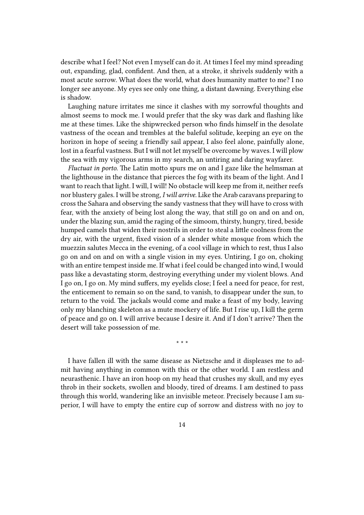describe what I feel? Not even I myself can do it. At times I feel my mind spreading out, expanding, glad, confident. And then, at a stroke, it shrivels suddenly with a most acute sorrow. What does the world, what does humanity matter to me? I no longer see anyone. My eyes see only one thing, a distant dawning. Everything else is shadow.

Laughing nature irritates me since it clashes with my sorrowful thoughts and almost seems to mock me. I would prefer that the sky was dark and flashing like me at these times. Like the shipwrecked person who finds himself in the desolate vastness of the ocean and trembles at the baleful solitude, keeping an eye on the horizon in hope of seeing a friendly sail appear, I also feel alone, painfully alone, lost in a fearful vastness. But I will not let myself be overcome by waves. I will plow the sea with my vigorous arms in my search, an untiring and daring wayfarer.

*Fluctuat in porto.* The Latin motto spurs me on and I gaze like the helmsman at the lighthouse in the distance that pierces the fog with its beam of the light. And I want to reach that light. I will, I will! No obstacle will keep me from it, neither reefs nor blustery gales. I will be strong, *I will arrive.* Like the Arab caravans preparing to cross the Sahara and observing the sandy vastness that they will have to cross with fear, with the anxiety of being lost along the way, that still go on and on and on, under the blazing sun, amid the raging of the simoom, thirsty, hungry, tired, beside humped camels that widen their nostrils in order to steal a little coolness from the dry air, with the urgent, fixed vision of a slender white mosque from which the muezzin salutes Mecca in the evening, of a cool village in which to rest, thus I also go on and on and on with a single vision in my eyes. Untiring, I go on, choking with an entire tempest inside me. If what i feel could be changed into wind, I would pass like a devastating storm, destroying everything under my violent blows. And I go on, I go on. My mind suffers, my eyelids close; I feel a need for peace, for rest, the enticement to remain so on the sand, to vanish, to disappear under the sun, to return to the void. The jackals would come and make a feast of my body, leaving only my blanching skeleton as a mute mockery of life. But I rise up, I kill the germ of peace and go on. I will arrive because I desire it. And if I don't arrive? Then the desert will take possession of me.

\* \* \*

I have fallen ill with the same disease as Nietzsche and it displeases me to admit having anything in common with this or the other world. I am restless and neurasthenic. I have an iron hoop on my head that crushes my skull, and my eyes throb in their sockets, swollen and bloody, tired of dreams. I am destined to pass through this world, wandering like an invisible meteor. Precisely because I am superior, I will have to empty the entire cup of sorrow and distress with no joy to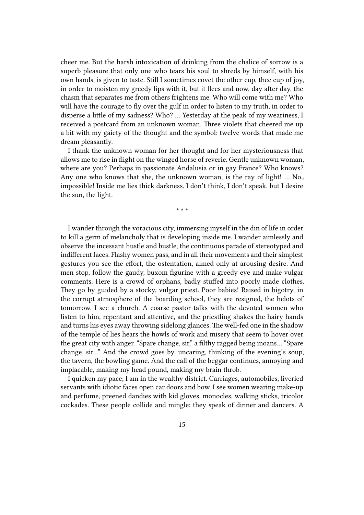cheer me. But the harsh intoxication of drinking from the chalice of sorrow is a superb pleasure that only one who tears his soul to shreds by himself, with his own hands, is given to taste. Still I sometimes covet the other cup, thee cup of joy, in order to moisten my greedy lips with it, but it flees and now, day after day, the chasm that separates me from others frightens me. Who will come with me? Who will have the courage to fly over the gulf in order to listen to my truth, in order to disperse a little of my sadness? Who? … Yesterday at the peak of my weariness, I received a postcard from an unknown woman. Three violets that cheered me up a bit with my gaiety of the thought and the symbol: twelve words that made me dream pleasantly.

I thank the unknown woman for her thought and for her mysteriousness that allows me to rise in flight on the winged horse of reverie. Gentle unknown woman, where are you? Perhaps in passionate Andalusia or in gay France? Who knows? Any one who knows that she, the unknown woman, is the ray of light! … No,. impossible! Inside me lies thick darkness. I don't think, I don't speak, but I desire the sun, the light.

\* \* \*

I wander through the voracious city, immersing myself in the din of life in order to kill a germ of melancholy that is developing inside me. I wander aimlessly and observe the incessant hustle and bustle, the continuous parade of stereotyped and indifferent faces. Flashy women pass, and in all their movements and their simplest gestures you see the effort, the ostentation, aimed only at arousing desire. And men stop, follow the gaudy, buxom figurine with a greedy eye and make vulgar comments. Here is a crowd of orphans, badly stuffed into poorly made clothes. They go by guided by a stocky, vulgar priest. Poor babies! Raised in bigotry, in the corrupt atmosphere of the boarding school, they are resigned, the helots of tomorrow. I see a church. A coarse pastor talks with the devoted women who listen to him, repentant and attentive, and the priestling shakes the hairy hands and turns his eyes away throwing sidelong glances. The well-fed one in the shadow of the temple of lies hears the howls of work and misery that seem to hover over the great city with anger. "Spare change, sir," a filthy ragged being moans… "Spare change, sir…" And the crowd goes by, uncaring, thinking of the evening's soup, the tavern, the bowling game. And the call of the beggar continues, annoying and implacable, making my head pound, making my brain throb.

I quicken my pace; I am in the wealthy district. Carriages, automobiles, liveried servants with idiotic faces open car doors and bow. I see women wearing make-up and perfume, preened dandies with kid gloves, monocles, walking sticks, tricolor cockades. These people collide and mingle: they speak of dinner and dancers. A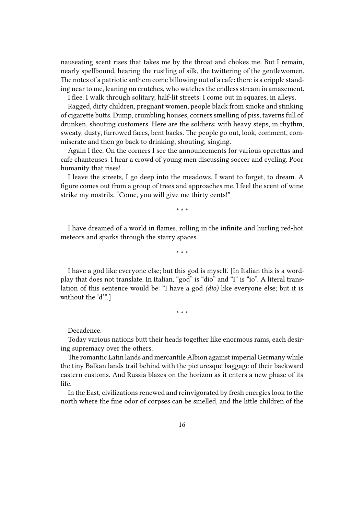nauseating scent rises that takes me by the throat and chokes me. But I remain, nearly spellbound, hearing the rustling of silk, the twittering of the gentlewomen. The notes of a patriotic anthem come billowing out of a cafe: there is a cripple standing near to me, leaning on crutches, who watches the endless stream in amazement.

I flee. I walk through solitary, half-lit streets: I come out in squares, in alleys.

Ragged, dirty children, pregnant women, people black from smoke and stinking of cigarette butts. Dump, crumbling houses, corners smelling of piss, taverns full of drunken, shouting customers. Here are the soldiers: with heavy steps, in rhythm, sweaty, dusty, furrowed faces, bent backs. The people go out, look, comment, commiserate and then go back to drinking, shouting, singing.

Again I flee. On the corners I see the announcements for various operettas and cafe chanteuses: I hear a crowd of young men discussing soccer and cycling. Poor humanity that rises!

I leave the streets, I go deep into the meadows. I want to forget, to dream. A figure comes out from a group of trees and approaches me. I feel the scent of wine strike my nostrils. "Come, you will give me thirty cents!"

\* \* \*

I have dreamed of a world in flames, rolling in the infinite and hurling red-hot meteors and sparks through the starry spaces.

\* \* \*

I have a god like everyone else; but this god is myself. [In Italian this is a wordplay that does not translate. In Italian, "god" is "dio" and "I" is "io". A literal translation of this sentence would be: "I have a god *(dio)* like everyone else; but it is without the 'd'".]

\* \* \*

Decadence.

Today various nations butt their heads together like enormous rams, each desiring supremacy over the others.

The romantic Latin lands and mercantile Albion against imperial Germany while the tiny Balkan lands trail behind with the picturesque baggage of their backward eastern customs. And Russia blazes on the horizon as it enters a new phase of its life.

In the East, civilizations renewed and reinvigorated by fresh energies look to the north where the fine odor of corpses can be smelled, and the little children of the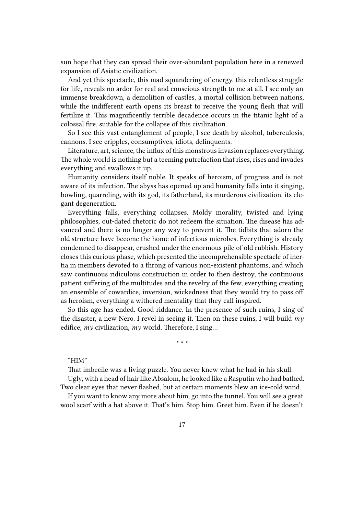sun hope that they can spread their over-abundant population here in a renewed expansion of Asiatic civilization.

And yet this spectacle, this mad squandering of energy, this relentless struggle for life, reveals no ardor for real and conscious strength to me at all. I see only an immense breakdown, a demolition of castles, a mortal collision between nations, while the indifferent earth opens its breast to receive the young flesh that will fertilize it. This magnificently terrible decadence occurs in the titanic light of a colossal fire, suitable for the collapse of this civilization.

So I see this vast entanglement of people, I see death by alcohol, tuberculosis, cannons. I see cripples, consumptives, idiots, delinquents.

Literature, art, science, the influx of this monstrous invasion replaces everything. The whole world is nothing but a teeming putrefaction that rises, rises and invades everything and swallows it up.

Humanity considers itself noble. It speaks of heroism, of progress and is not aware of its infection. The abyss has opened up and humanity falls into it singing, howling, quarreling, with its god, its fatherland, its murderous civilization, its elegant degeneration.

Everything falls, everything collapses. Moldy morality, twisted and lying philosophies, out-dated rhetoric do not redeem the situation. The disease has advanced and there is no longer any way to prevent it. The tidbits that adorn the old structure have become the home of infectious microbes. Everything is already condemned to disappear, crushed under the enormous pile of old rubbish. History closes this curious phase, which presented the incomprehensible spectacle of inertia in members devoted to a throng of various non-existent phantoms, and which saw continuous ridiculous construction in order to then destroy, the continuous patient suffering of the multitudes and the revelry of the few, everything creating an ensemble of cowardice, inversion, wickedness that they would try to pass off as heroism, everything a withered mentality that they call inspired.

So this age has ended. Good riddance. In the presence of such ruins, I sing of the disaster, a new Nero. I revel in seeing it. Then on these ruins, I will build *my* edifice, *my* civilization, *my* world. Therefore, I sing…

\* \* \*

"HIM"

That imbecile was a living puzzle. You never knew what he had in his skull.

Ugly, with a head of hair like Absalom, he looked like a Rasputin who had bathed. Two clear eyes that never flashed, but at certain moments blew an ice-cold wind.

If you want to know any more about him, go into the tunnel. You will see a great wool scarf with a hat above it. That's him. Stop him. Greet him. Even if he doesn't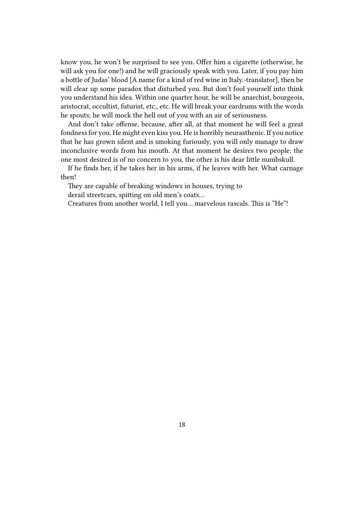know you, he won't be surprised to see you. Offer him a cigarette (otherwise, he will ask you for one!) and he will graciously speak with you. Later, if you pay him a bottle of Judas' blood [A name for a kind of red wine in Italy.-translator], then he will clear up some paradox that disturbed you. But don't fool yourself into think you understand his idea. Within one quarter hour, he will be anarchist, bourgeois, aristocrat, occultist, futurist, etc., etc. He will break your eardrums with the words he spouts; he will mock the hell out of you with an air of seriousness.

And don't take offense, because, after all, at that moment he will feel a great fondness for you. He might even kiss you. He is horribly neurasthenic. If you notice that he has grown silent and is smoking furiously, you will only manage to draw inconclusive words from his mouth. At that moment he desires two people; the one most desired is of no concern to you, the other is his dear little numbskull.

If he finds her, if he takes her in his arms, if he leaves with her. What carnage then!

They are capable of breaking windows in houses, trying to derail streetcars, spitting on old men's coats…

Creatures from another world, I tell you… marvelous rascals. This is "He"!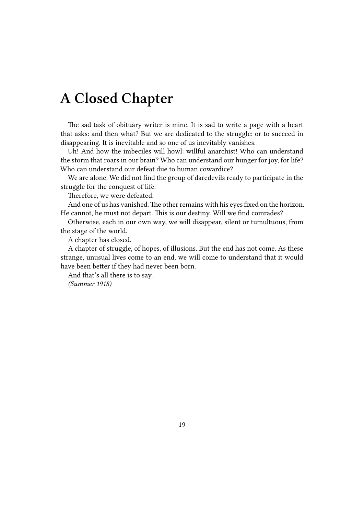#### <span id="page-18-0"></span>**A Closed Chapter**

The sad task of obituary writer is mine. It is sad to write a page with a heart that asks: and then what? But we are dedicated to the struggle: or to succeed in disappearing. It is inevitable and so one of us inevitably vanishes.

Uh! And how the imbeciles will howl: willful anarchist! Who can understand the storm that roars in our brain? Who can understand our hunger for joy, for life? Who can understand our defeat due to human cowardice?

We are alone. We did not find the group of daredevils ready to participate in the struggle for the conquest of life.

Therefore, we were defeated.

And one of us has vanished. The other remains with his eyes fixed on the horizon. He cannot, he must not depart. This is our destiny. Will we find comrades?

Otherwise, each in our own way, we will disappear, silent or tumultuous, from the stage of the world.

A chapter has closed.

A chapter of struggle, of hopes, of illusions. But the end has not come. As these strange, unusual lives come to an end, we will come to understand that it would have been better if they had never been born.

And that's all there is to say.

*(Summer 1918)*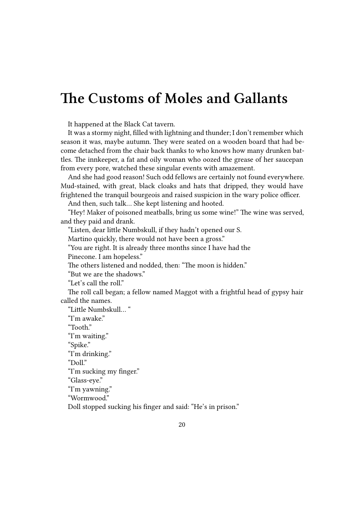## <span id="page-19-0"></span>**The Customs of Moles and Gallants**

It happened at the Black Cat tavern.

It was a stormy night, filled with lightning and thunder; I don't remember which season it was, maybe autumn. They were seated on a wooden board that had become detached from the chair back thanks to who knows how many drunken battles. The innkeeper, a fat and oily woman who oozed the grease of her saucepan from every pore, watched these singular events with amazement.

And she had good reason! Such odd fellows are certainly not found everywhere. Mud-stained, with great, black cloaks and hats that dripped, they would have frightened the tranquil bourgeois and raised suspicion in the wary police officer.

And then, such talk… She kept listening and hooted.

"Hey! Maker of poisoned meatballs, bring us some wine!" The wine was served, and they paid and drank.

"Listen, dear little Numbskull, if they hadn't opened our S. Martino quickly, there would not have been a gross." "You are right. It is already three months since I have had the Pinecone. I am hopeless." The others listened and nodded, then: "The moon is hidden." "But we are the shadows." "Let's call the roll." The roll call began; a fellow named Maggot with a frightful head of gypsy hair called the names. "Little Numbskull… " "I'm awake." "Tooth." "I'm waiting." "Spike." "I'm drinking." "Doll." "I'm sucking my finger." "Glass-eye." "I'm yawning." "Wormwood." Doll stopped sucking his finger and said: "He's in prison."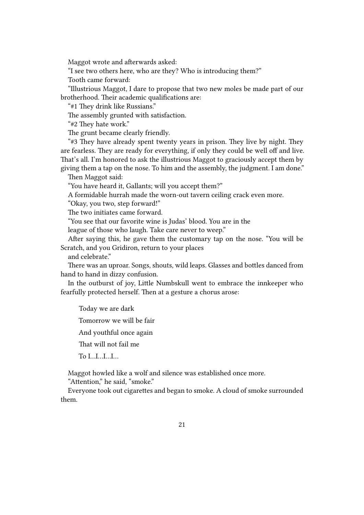Maggot wrote and afterwards asked:

"I see two others here, who are they? Who is introducing them?"

Tooth came forward:

"Illustrious Maggot, I dare to propose that two new moles be made part of our brotherhood. Their academic qualifications are:

"#1 They drink like Russians."

The assembly grunted with satisfaction.

"#2 They hate work."

The grunt became clearly friendly.

"#3 They have already spent twenty years in prison. They live by night. They are fearless. They are ready for everything, if only they could be well off and live. That's all. I'm honored to ask the illustrious Maggot to graciously accept them by giving them a tap on the nose. To him and the assembly, the judgment. I am done."

Then Maggot said:

"You have heard it, Gallants; will you accept them?"

A formidable hurrah made the worn-out tavern ceiling crack even more.

"Okay, you two, step forward!"

The two initiates came forward.

"You see that our favorite wine is Judas' blood. You are in the

league of those who laugh. Take care never to weep."

After saying this, he gave them the customary tap on the nose. "You will be Scratch, and you Gridiron, return to your places

and celebrate."

There was an uproar. Songs, shouts, wild leaps. Glasses and bottles danced from hand to hand in dizzy confusion.

In the outburst of joy, Little Numbskull went to embrace the innkeeper who fearfully protected herself. Then at a gesture a chorus arose:

Today we are dark

Tomorrow we will be fair

And youthful once again

That will not fail me

To I…I…I…I…

Maggot howled like a wolf and silence was established once more.

"Attention," he said, "smoke."

Everyone took out cigarettes and began to smoke. A cloud of smoke surrounded them.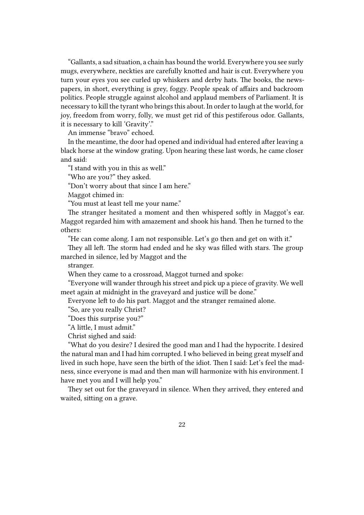"Gallants, a sad situation, a chain has bound the world. Everywhere you see surly mugs, everywhere, neckties are carefully knotted and hair is cut. Everywhere you turn your eyes you see curled up whiskers and derby hats. The books, the newspapers, in short, everything is grey, foggy. People speak of affairs and backroom politics. People struggle against alcohol and applaud members of Parliament. It is necessary to kill the tyrant who brings this about. In order to laugh at the world, for joy, freedom from worry, folly, we must get rid of this pestiferous odor. Gallants, it is necessary to kill 'Gravity'."

An immense "bravo" echoed.

In the meantime, the door had opened and individual had entered after leaving a black horse at the window grating. Upon hearing these last words, he came closer and said:

"I stand with you in this as well."

"Who are you?" they asked.

"Don't worry about that since I am here."

Maggot chimed in:

"You must at least tell me your name."

The stranger hesitated a moment and then whispered softly in Maggot's ear. Maggot regarded him with amazement and shook his hand. Then he turned to the others:

"He can come along. I am not responsible. Let's go then and get on with it."

They all left. The storm had ended and he sky was filled with stars. The group marched in silence, led by Maggot and the

stranger.

When they came to a crossroad, Maggot turned and spoke:

"Everyone will wander through his street and pick up a piece of gravity. We well meet again at midnight in the graveyard and justice will be done."

Everyone left to do his part. Maggot and the stranger remained alone.

"So, are you really Christ?

"Does this surprise you?"

"A little, I must admit."

Christ sighed and said:

"What do you desire? I desired the good man and I had the hypocrite. I desired the natural man and I had him corrupted. I who believed in being great myself and lived in such hope, have seen the birth of the idiot. Then I said: Let's feel the madness, since everyone is mad and then man will harmonize with his environment. I have met you and I will help you."

They set out for the graveyard in silence. When they arrived, they entered and waited, sitting on a grave.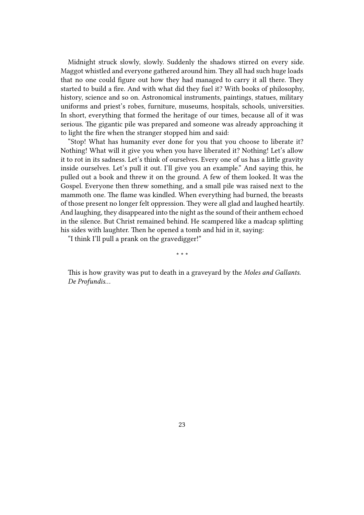Midnight struck slowly, slowly. Suddenly the shadows stirred on every side. Maggot whistled and everyone gathered around him. They all had such huge loads that no one could figure out how they had managed to carry it all there. They started to build a fire. And with what did they fuel it? With books of philosophy, history, science and so on. Astronomical instruments, paintings, statues, military uniforms and priest's robes, furniture, museums, hospitals, schools, universities. In short, everything that formed the heritage of our times, because all of it was serious. The gigantic pile was prepared and someone was already approaching it to light the fire when the stranger stopped him and said:

"Stop! What has humanity ever done for you that you choose to liberate it? Nothing! What will it give you when you have liberated it? Nothing! Let's allow it to rot in its sadness. Let's think of ourselves. Every one of us has a little gravity inside ourselves. Let's pull it out. I'll give you an example." And saying this, he pulled out a book and threw it on the ground. A few of them looked. It was the Gospel. Everyone then threw something, and a small pile was raised next to the mammoth one. The flame was kindled. When everything had burned, the breasts of those present no longer felt oppression. They were all glad and laughed heartily. And laughing, they disappeared into the night as the sound of their anthem echoed in the silence. But Christ remained behind. He scampered like a madcap splitting his sides with laughter. Then he opened a tomb and hid in it, saying:

"I think I'll pull a prank on the gravedigger!"

This is how gravity was put to death in a graveyard by the *Moles and Gallants. De Profundis…*

\* \* \*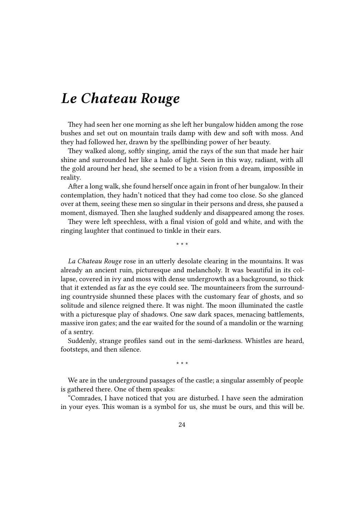#### <span id="page-23-0"></span>*Le Chateau Rouge*

They had seen her one morning as she left her bungalow hidden among the rose bushes and set out on mountain trails damp with dew and soft with moss. And they had followed her, drawn by the spellbinding power of her beauty.

They walked along, softly singing, amid the rays of the sun that made her hair shine and surrounded her like a halo of light. Seen in this way, radiant, with all the gold around her head, she seemed to be a vision from a dream, impossible in reality.

After a long walk, she found herself once again in front of her bungalow. In their contemplation, they hadn't noticed that they had come too close. So she glanced over at them, seeing these men so singular in their persons and dress, she paused a moment, dismayed. Then she laughed suddenly and disappeared among the roses.

They were left speechless, with a final vision of gold and white, and with the ringing laughter that continued to tinkle in their ears.

\* \* \*

*La Chateau Rouge* rose in an utterly desolate clearing in the mountains. It was already an ancient ruin, picturesque and melancholy. It was beautiful in its collapse, covered in ivy and moss with dense undergrowth as a background, so thick that it extended as far as the eye could see. The mountaineers from the surrounding countryside shunned these places with the customary fear of ghosts, and so solitude and silence reigned there. It was night. The moon illuminated the castle with a picturesque play of shadows. One saw dark spaces, menacing battlements, massive iron gates; and the ear waited for the sound of a mandolin or the warning of a sentry.

Suddenly, strange profiles sand out in the semi-darkness. Whistles are heard, footsteps, and then silence.

\* \* \*

We are in the underground passages of the castle; a singular assembly of people is gathered there. One of them speaks:

"Comrades, I have noticed that you are disturbed. I have seen the admiration in your eyes. This woman is a symbol for us, she must be ours, and this will be.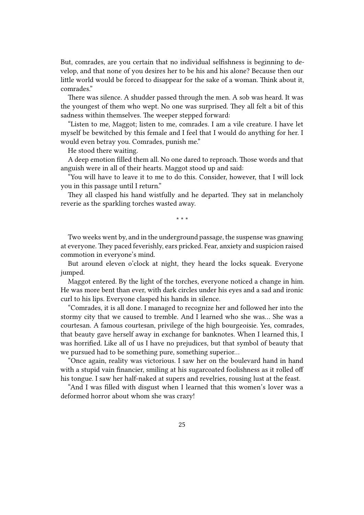But, comrades, are you certain that no individual selfishness is beginning to develop, and that none of you desires her to be his and his alone? Because then our little world would be forced to disappear for the sake of a woman. Think about it, comrades."

There was silence. A shudder passed through the men. A sob was heard. It was the youngest of them who wept. No one was surprised. They all felt a bit of this sadness within themselves. The weeper stepped forward:

"Listen to me, Maggot; listen to me, comrades. I am a vile creature. I have let myself be bewitched by this female and I feel that I would do anything for her. I would even betray you. Comrades, punish me."

He stood there waiting.

A deep emotion filled them all. No one dared to reproach. Those words and that anguish were in all of their hearts. Maggot stood up and said:

"You will have to leave it to me to do this. Consider, however, that I will lock you in this passage until I return."

They all clasped his hand wistfully and he departed. They sat in melancholy reverie as the sparkling torches wasted away.

\* \* \*

Two weeks went by, and in the underground passage, the suspense was gnawing at everyone. They paced feverishly, ears pricked. Fear, anxiety and suspicion raised commotion in everyone's mind.

But around eleven o'clock at night, they heard the locks squeak. Everyone jumped.

Maggot entered. By the light of the torches, everyone noticed a change in him. He was more bent than ever, with dark circles under his eyes and a sad and ironic curl to his lips. Everyone clasped his hands in silence.

"Comrades, it is all done. I managed to recognize her and followed her into the stormy city that we caused to tremble. And I learned who she was… She was a courtesan. A famous courtesan, privilege of the high bourgeoisie. Yes, comrades, that beauty gave herself away in exchange for banknotes. When I learned this, I was horrified. Like all of us I have no prejudices, but that symbol of beauty that we pursued had to be something pure, something superior…

"Once again, reality was victorious. I saw her on the boulevard hand in hand with a stupid vain financier, smiling at his sugarcoated foolishness as it rolled off his tongue. I saw her half-naked at supers and revelries, rousing lust at the feast.

"And I was filled with disgust when I learned that this women's lover was a deformed horror about whom she was crazy!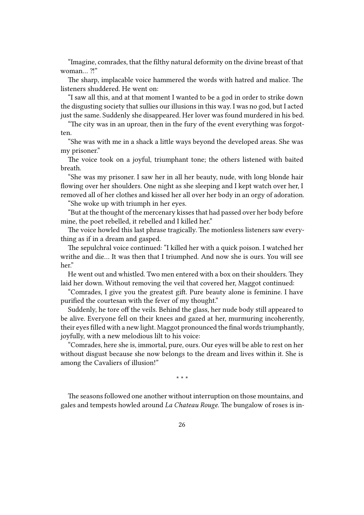"Imagine, comrades, that the filthy natural deformity on the divine breast of that woman...?!"

The sharp, implacable voice hammered the words with hatred and malice. The listeners shuddered. He went on:

"I saw all this, and at that moment I wanted to be a god in order to strike down the disgusting society that sullies our illusions in this way. I was no god, but I acted just the same. Suddenly she disappeared. Her lover was found murdered in his bed.

"The city was in an uproar, then in the fury of the event everything was forgotten.

"She was with me in a shack a little ways beyond the developed areas. She was my prisoner."

The voice took on a joyful, triumphant tone; the others listened with baited breath.

"She was my prisoner. I saw her in all her beauty, nude, with long blonde hair flowing over her shoulders. One night as she sleeping and I kept watch over her, I removed all of her clothes and kissed her all over her body in an orgy of adoration.

"She woke up with triumph in her eyes.

"But at the thought of the mercenary kisses that had passed over her body before mine, the poet rebelled, it rebelled and I killed her."

The voice howled this last phrase tragically. The motionless listeners saw everything as if in a dream and gasped.

The sepulchral voice continued: "I killed her with a quick poison. I watched her writhe and die… It was then that I triumphed. And now she is ours. You will see her"

He went out and whistled. Two men entered with a box on their shoulders. They laid her down. Without removing the veil that covered her, Maggot continued:

"Comrades, I give you the greatest gift. Pure beauty alone is feminine. I have purified the courtesan with the fever of my thought."

Suddenly, he tore off the veils. Behind the glass, her nude body still appeared to be alive. Everyone fell on their knees and gazed at her, murmuring incoherently, their eyes filled with a new light. Maggot pronounced the final words triumphantly, joyfully, with a new melodious lilt to his voice:

"Comrades, here she is, immortal, pure, ours. Our eyes will be able to rest on her without disgust because she now belongs to the dream and lives within it. She is among the Cavaliers of illusion!"

\* \* \*

The seasons followed one another without interruption on those mountains, and gales and tempests howled around *La Chateau Rouge.* The bungalow of roses is in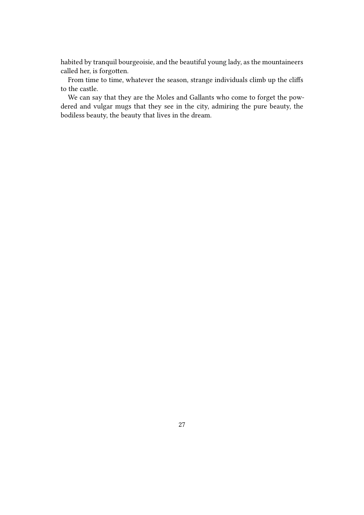habited by tranquil bourgeoisie, and the beautiful young lady, as the mountaineers called her, is forgotten.

From time to time, whatever the season, strange individuals climb up the cliffs to the castle.

We can say that they are the Moles and Gallants who come to forget the powdered and vulgar mugs that they see in the city, admiring the pure beauty, the bodiless beauty, the beauty that lives in the dream.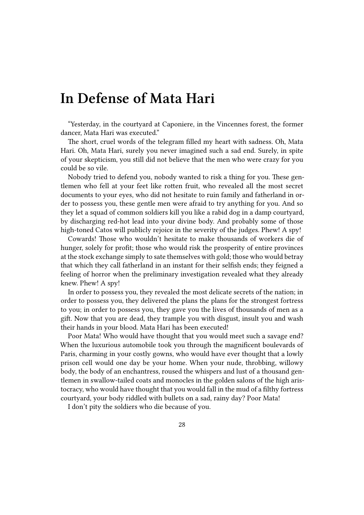#### <span id="page-27-0"></span>**In Defense of Mata Hari**

"Yesterday, in the courtyard at Caponiere, in the Vincennes forest, the former dancer, Mata Hari was executed."

The short, cruel words of the telegram filled my heart with sadness. Oh, Mata Hari. Oh, Mata Hari, surely you never imagined such a sad end. Surely, in spite of your skepticism, you still did not believe that the men who were crazy for you could be so vile.

Nobody tried to defend you, nobody wanted to risk a thing for you. These gentlemen who fell at your feet like rotten fruit, who revealed all the most secret documents to your eyes, who did not hesitate to ruin family and fatherland in order to possess you, these gentle men were afraid to try anything for you. And so they let a squad of common soldiers kill you like a rabid dog in a damp courtyard, by discharging red-hot lead into your divine body. And probably some of those high-toned Catos will publicly rejoice in the severity of the judges. Phew! A spy!

Cowards! Those who wouldn't hesitate to make thousands of workers die of hunger, solely for profit; those who would risk the prosperity of entire provinces at the stock exchange simply to sate themselves with gold; those who would betray that which they call fatherland in an instant for their selfish ends; they feigned a feeling of horror when the preliminary investigation revealed what they already knew. Phew! A spy!

In order to possess you, they revealed the most delicate secrets of the nation; in order to possess you, they delivered the plans the plans for the strongest fortress to you; in order to possess you, they gave you the lives of thousands of men as a gift. Now that you are dead, they trample you with disgust, insult you and wash their hands in your blood. Mata Hari has been executed!

Poor Mata! Who would have thought that you would meet such a savage end? When the luxurious automobile took you through the magnificent boulevards of Paris, charming in your costly gowns, who would have ever thought that a lowly prison cell would one day be your home. When your nude, throbbing, willowy body, the body of an enchantress, roused the whispers and lust of a thousand gentlemen in swallow-tailed coats and monocles in the golden salons of the high aristocracy, who would have thought that you would fall in the mud of a filthy fortress courtyard, your body riddled with bullets on a sad, rainy day? Poor Mata!

I don't pity the soldiers who die because of you.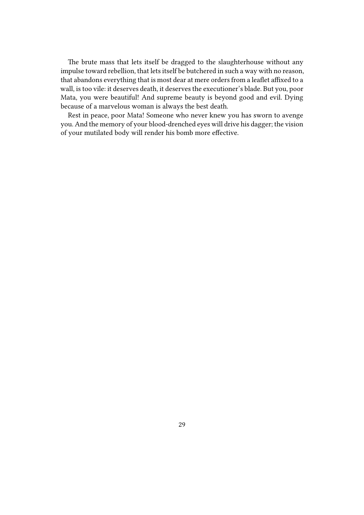The brute mass that lets itself be dragged to the slaughterhouse without any impulse toward rebellion, that lets itself be butchered in such a way with no reason, that abandons everything that is most dear at mere orders from a leaflet affixed to a wall, is too vile: it deserves death, it deserves the executioner's blade. But you, poor Mata, you were beautiful! And supreme beauty is beyond good and evil. Dying because of a marvelous woman is always the best death.

Rest in peace, poor Mata! Someone who never knew you has sworn to avenge you. And the memory of your blood-drenched eyes will drive his dagger; the vision of your mutilated body will render his bomb more effective.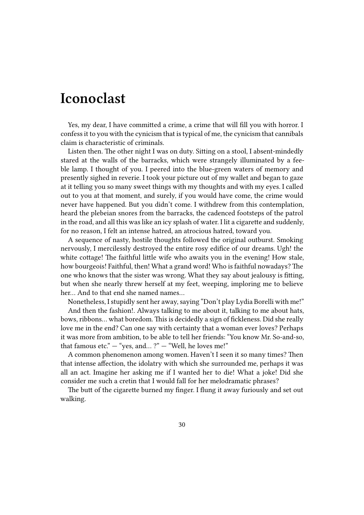#### <span id="page-29-0"></span>**Iconoclast**

Yes, my dear, I have committed a crime, a crime that will fill you with horror. I confess it to you with the cynicism that is typical of me, the cynicism that cannibals claim is characteristic of criminals.

Listen then. The other night I was on duty. Sitting on a stool, I absent-mindedly stared at the walls of the barracks, which were strangely illuminated by a feeble lamp. I thought of you. I peered into the blue-green waters of memory and presently sighed in reverie. I took your picture out of my wallet and began to gaze at it telling you so many sweet things with my thoughts and with my eyes. I called out to you at that moment, and surely, if you would have come, the crime would never have happened. But you didn't come. I withdrew from this contemplation, heard the plebeian snores from the barracks, the cadenced footsteps of the patrol in the road, and all this was like an icy splash of water. I lit a cigarette and suddenly, for no reason, I felt an intense hatred, an atrocious hatred, toward you.

A sequence of nasty, hostile thoughts followed the original outburst. Smoking nervously, I mercilessly destroyed the entire rosy edifice of our dreams. Ugh! the white cottage! The faithful little wife who awaits you in the evening! How stale, how bourgeois! Faithful, then! What a grand word! Who is faithful nowadays? The one who knows that the sister was wrong. What they say about jealousy is fitting, but when she nearly threw herself at my feet, weeping, imploring me to believe her… And to that end she named names…

Nonetheless, I stupidly sent her away, saying "Don't play Lydia Borelli with me!" And then the fashion!. Always talking to me about it, talking to me about hats, bows, ribbons… what boredom. This is decidedly a sign of fickleness. Did she really

love me in the end? Can one say with certainty that a woman ever loves? Perhaps it was more from ambition, to be able to tell her friends: "You know Mr. So-and-so, that famous etc."  $-$  "yes, and... ?"  $-$  "Well, he loves me!"

A common phenomenon among women. Haven't I seen it so many times? Then that intense affection, the idolatry with which she surrounded me, perhaps it was all an act. Imagine her asking me if I wanted her to die! What a joke! Did she consider me such a cretin that I would fall for her melodramatic phrases?

The butt of the cigarette burned my finger. I flung it away furiously and set out walking.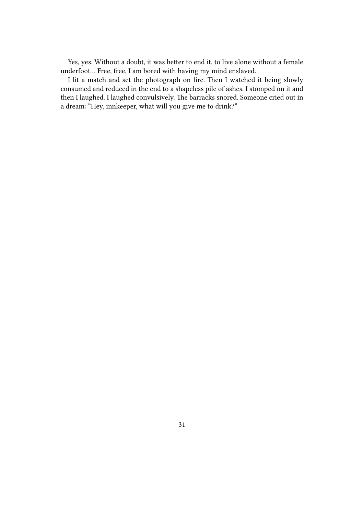Yes, yes. Without a doubt, it was better to end it, to live alone without a female underfoot… Free, free, I am bored with having my mind enslaved.

I lit a match and set the photograph on fire. Then I watched it being slowly consumed and reduced in the end to a shapeless pile of ashes. I stomped on it and then I laughed. I laughed convulsively. The barracks snored. Someone cried out in a dream: "Hey, innkeeper, what will you give me to drink?"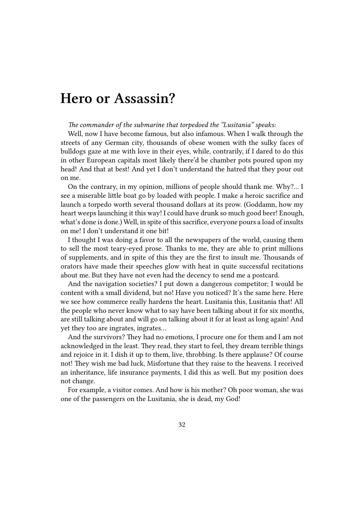#### <span id="page-31-0"></span>**Hero or Assassin?**

*The commander of the submarine that torpedoed the "Lusitania" speaks:*

Well, now I have become famous, but also infamous. When I walk through the streets of any German city, thousands of obese women with the sulky faces of bulldogs gaze at me with love in their eyes, while, contrarily, if I dared to do this in other European capitals most likely there'd be chamber pots poured upon my head! And that at best! And yet I don't understand the hatred that they pour out on me.

On the contrary, in my opinion, millions of people should thank me. Why?… I see a miserable little boat go by loaded with people. I make a heroic sacrifice and launch a torpedo worth several thousand dollars at its prow. (Goddamn, how my heart weeps launching it this way! I could have drunk so much good beer! Enough, what's done is done.) Well, in spite of this sacrifice, everyone pours a load of insults on me! I don't understand it one bit!

I thought I was doing a favor to all the newspapers of the world, causing them to sell the most teary-eyed prose. Thanks to me, they are able to print millions of supplements, and in spite of this they are the first to insult me. Thousands of orators have made their speeches glow with heat in quite successful recitations about me. But they have not even had the decency to send me a postcard.

And the navigation societies? I put down a dangerous competitor; I would be content with a small dividend, but no! Have you noticed? It's the same here. Here we see how commerce really hardens the heart. Lusitania this, Lusitania that! All the people who never know what to say have been talking about it for six months, are still talking about and will go on talking about it for at least as long again! And yet they too are ingrates, ingrates…

And the survivors? They had no emotions, I procure one for them and I am not acknowledged in the least. They read, they start to feel, they dream terrible things and rejoice in it. I dish it up to them, live, throbbing. Is there applause? Of course not! They wish me bad luck, Misfortune that they raise to the heavens. I received an inheritance, life insurance payments, I did this as well. But my position does not change.

For example, a visitor comes. And how is his mother? Oh poor woman, she was one of the passengers on the Lusitania, she is dead, my God!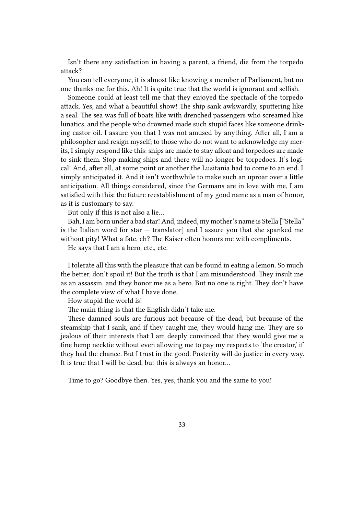Isn't there any satisfaction in having a parent, a friend, die from the torpedo attack?

You can tell everyone, it is almost like knowing a member of Parliament, but no one thanks me for this. Ah! It is quite true that the world is ignorant and selfish.

Someone could at least tell me that they enjoyed the spectacle of the torpedo attack. Yes, and what a beautiful show! The ship sank awkwardly, sputtering like a seal. The sea was full of boats like with drenched passengers who screamed like lunatics, and the people who drowned made such stupid faces like someone drinking castor oil. I assure you that I was not amused by anything. After all, I am a philosopher and resign myself; to those who do not want to acknowledge my merits, I simply respond like this: ships are made to stay afloat and torpedoes are made to sink them. Stop making ships and there will no longer be torpedoes. It's logical! And, after all, at some point or another the Lusitania had to come to an end. I simply anticipated it. And it isn't worthwhile to make such an uproar over a little anticipation. All things considered, since the Germans are in love with me, I am satisfied with this: the future reestablishment of my good name as a man of honor, as it is customary to say.

But only if this is not also a lie…

Bah, I am born under a bad star! And, indeed, my mother's name is Stella ["Stella" is the Italian word for star — translator] and I assure you that she spanked me without pity! What a fate, eh? The Kaiser often honors me with compliments.

He says that I am a hero, etc., etc.

I tolerate all this with the pleasure that can be found in eating a lemon. So much the better, don't spoil it! But the truth is that I am misunderstood. They insult me as an assassin, and they honor me as a hero. But no one is right. They don't have the complete view of what I have done,

How stupid the world is!

The main thing is that the English didn't take me.

These damned souls are furious not because of the dead, but because of the steamship that I sank, and if they caught me, they would hang me. They are so jealous of their interests that I am deeply convinced that they would give me a fine hemp necktie without even allowing me to pay my respects to 'the creator,' if they had the chance. But I trust in the good. Posterity will do justice in every way. It is true that I will be dead, but this is always an honor…

Time to go? Goodbye then. Yes, yes, thank you and the same to you!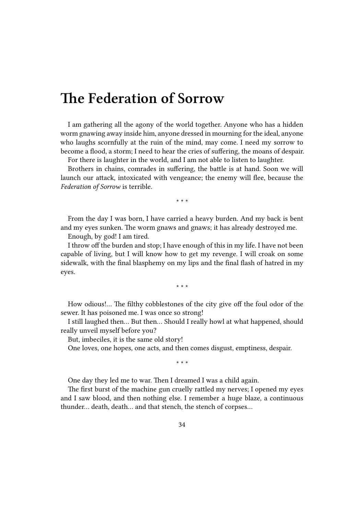### <span id="page-33-0"></span>**The Federation of Sorrow**

I am gathering all the agony of the world together. Anyone who has a hidden worm gnawing away inside him, anyone dressed in mourning for the ideal, anyone who laughs scornfully at the ruin of the mind, may come. I need my sorrow to become a flood, a storm; I need to hear the cries of suffering, the moans of despair.

For there is laughter in the world, and I am not able to listen to laughter.

Brothers in chains, comrades in suffering, the battle is at hand. Soon we will launch our attack, intoxicated with vengeance; the enemy will flee, because the *Federation of Sorrow* is terrible.

\* \* \*

From the day I was born, I have carried a heavy burden. And my back is bent and my eyes sunken. The worm gnaws and gnaws; it has already destroyed me.

Enough, by god! I am tired.

I throw off the burden and stop; I have enough of this in my life. I have not been capable of living, but I will know how to get my revenge. I will croak on some sidewalk, with the final blasphemy on my lips and the final flash of hatred in my eyes.

\* \* \*

How odious!… The filthy cobblestones of the city give off the foul odor of the sewer. It has poisoned me. I was once so strong!

I still laughed then… But then… Should I really howl at what happened, should really unveil myself before you?

But, imbeciles, it is the same old story!

One loves, one hopes, one acts, and then comes disgust, emptiness, despair.

\* \* \*

One day they led me to war. Then I dreamed I was a child again.

The first burst of the machine gun cruelly rattled my nerves; I opened my eyes and I saw blood, and then nothing else. I remember a huge blaze, a continuous thunder… death, death… and that stench, the stench of corpses…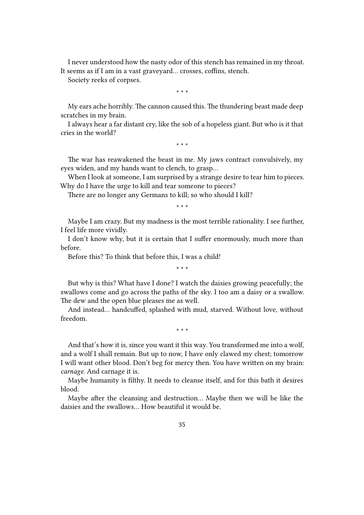I never understood how the nasty odor of this stench has remained in my throat. It seems as if I am in a vast graveyard… crosses, coffins, stench.

Society reeks of corpses.

\* \* \*

My ears ache horribly. The cannon caused this. The thundering beast made deep scratches in my brain.

I always hear a far distant cry, like the sob of a hopeless giant. But who is it that cries in the world?

\* \* \*

The war has reawakened the beast in me. My jaws contract convulsively, my eyes widen, and my hands want to clench, to grasp…

When I look at someone, I am surprised by a strange desire to tear him to pieces. Why do I have the urge to kill and tear someone to pieces?

There are no longer any Germans to kill; so who should I kill?

\* \* \*

Maybe I am crazy. But my madness is the most terrible rationality. I see further, I feel life more vividly.

I don't know why, but it is certain that I suffer enormously, much more than before.

Before this? To think that before this, I was a child!

\* \* \*

But why is this? What have I done? I watch the daisies growing peacefully; the swallows come and go across the paths of the sky. I too am a daisy or a swallow. The dew and the open blue pleases me as well.

And instead… handcuffed, splashed with mud, starved. Without love, without freedom.

\* \* \*

And that's how it is, since you want it this way. You transformed me into a wolf, and a wolf I shall remain. But up to now, I have only clawed my chest; tomorrow I will want other blood. Don't beg for mercy then. You have written on my brain: *carnage*. And carnage it is.

Maybe humanity is filthy. It needs to cleanse itself, and for this bath it desires blood.

Maybe after the cleansing and destruction… Maybe then we will be like the daisies and the swallows… How beautiful it would be.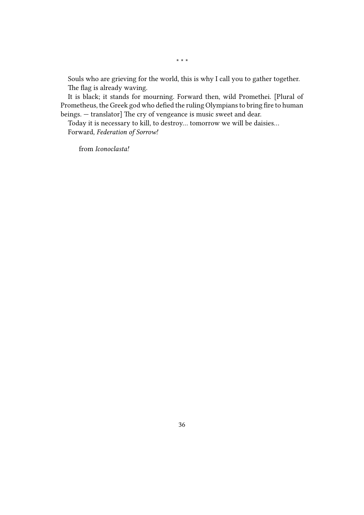Souls who are grieving for the world, this is why I call you to gather together. The flag is already waving.

It is black; it stands for mourning. Forward then, wild Promethei. [Plural of Prometheus, the Greek god who defied the ruling Olympians to bring fire to human beings. — translator] The cry of vengeance is music sweet and dear.

Today it is necessary to kill, to destroy… tomorrow we will be daisies… Forward, *Federation of Sorrow!*

from *Iconoclasta!*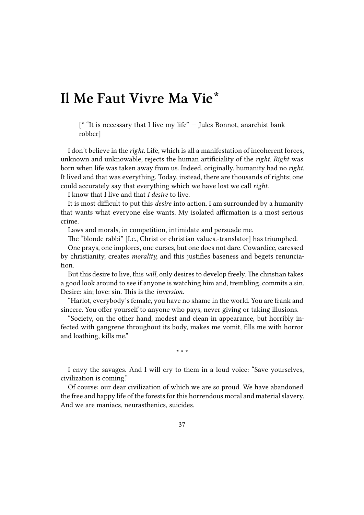### <span id="page-36-0"></span>**Il Me Faut Vivre Ma Vie\***

 $\lceil$ <sup>\*</sup> "It is necessary that I live my life"  $-$  Jules Bonnot, anarchist bank robber]

I don't believe in the *right.* Life, which is all a manifestation of incoherent forces, unknown and unknowable, rejects the human artificiality of the *right. Right* was born when life was taken away from us. Indeed, originally, humanity had no *right.* It lived and that was everything. Today, instead, there are thousands of rights; one could accurately say that everything which we have lost we call *right.*

I know that I live and that *I desire* to live.

It is most difficult to put this *desire* into action. I am surrounded by a humanity that wants what everyone else wants. My isolated affirmation is a most serious crime.

Laws and morals, in competition, intimidate and persuade me.

The "blonde rabbi" [I.e., Christ or christian values.-translator] has triumphed.

One prays, one implores, one curses, but one does not dare. Cowardice, caressed by christianity, creates *morality,* and this justifies baseness and begets renunciation.

But this desire to live, this *will,* only desires to develop freely. The christian takes a good look around to see if anyone is watching him and, trembling, commits a sin. Desire: sin; love: sin. This is the *inversion.*

"Harlot, everybody's female, you have no shame in the world. You are frank and sincere. You offer yourself to anyone who pays, never giving or taking illusions.

"Society, on the other hand, modest and clean in appearance, but horribly infected with gangrene throughout its body, makes me vomit, fills me with horror and loathing, kills me."

\* \* \*

I envy the savages. And I will cry to them in a loud voice: "Save yourselves, civilization is coming."

Of course: our dear civilization of which we are so proud. We have abandoned the free and happy life of the forests for this horrendous moral and material slavery. And we are maniacs, neurasthenics, suicides.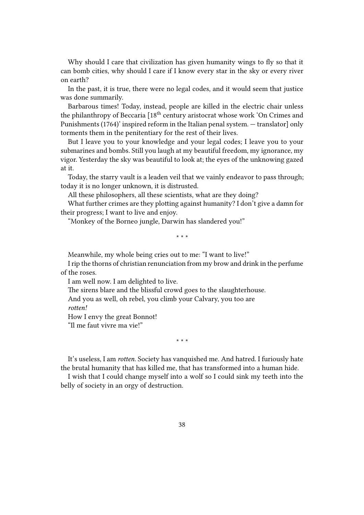Why should I care that civilization has given humanity wings to fly so that it can bomb cities, why should I care if I know every star in the sky or every river on earth?

In the past, it is true, there were no legal codes, and it would seem that justice was done summarily.

Barbarous times! Today, instead, people are killed in the electric chair unless the philanthropy of Beccaria  $[18<sup>th</sup>$  century aristocrat whose work 'On Crimes and Punishments (1764)' inspired reform in the Italian penal system. — translator] only torments them in the penitentiary for the rest of their lives.

But I leave you to your knowledge and your legal codes; I leave you to your submarines and bombs. Still you laugh at my beautiful freedom, my ignorance, my vigor. Yesterday the sky was beautiful to look at; the eyes of the unknowing gazed at it.

Today, the starry vault is a leaden veil that we vainly endeavor to pass through; today it is no longer unknown, it is distrusted.

All these philosophers, all these scientists, what are they doing?

What further crimes are they plotting against humanity? I don't give a damn for their progress; I want to live and enjoy.

"Monkey of the Borneo jungle, Darwin has slandered you!"

\* \* \*

Meanwhile, my whole being cries out to me: "I want to live!"

I rip the thorns of christian renunciation from my brow and drink in the perfume of the roses.

I am well now. I am delighted to live.

The sirens blare and the blissful crowd goes to the slaughterhouse.

And you as well, oh rebel, you climb your Calvary, you too are

*rotten!*

How I envy the great Bonnot!

"Il me faut vivre ma vie!"

\* \* \*

It's useless, I am *rotten.* Society has vanquished me. And hatred. I furiously hate the brutal humanity that has killed me, that has transformed into a human hide.

I wish that I could change myself into a wolf so I could sink my teeth into the belly of society in an orgy of destruction.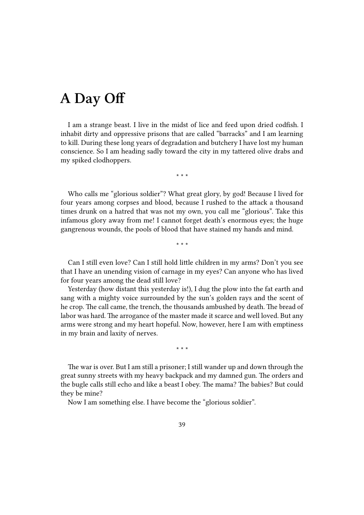## **A Day Off**

I am a strange beast. I live in the midst of lice and feed upon dried codfish. I inhabit dirty and oppressive prisons that are called "barracks" and I am learning to kill. During these long years of degradation and butchery I have lost my human conscience. So I am heading sadly toward the city in my tattered olive drabs and my spiked clodhoppers.

\* \* \*

Who calls me "glorious soldier"? What great glory, by god! Because I lived for four years among corpses and blood, because I rushed to the attack a thousand times drunk on a hatred that was not my own, you call me "glorious". Take this infamous glory away from me! I cannot forget death's enormous eyes; the huge gangrenous wounds, the pools of blood that have stained my hands and mind.

Can I still even love? Can I still hold little children in my arms? Don't you see that I have an unending vision of carnage in my eyes? Can anyone who has lived for four years among the dead still love?

\* \* \*

Yesterday (how distant this yesterday is!), I dug the plow into the fat earth and sang with a mighty voice surrounded by the sun's golden rays and the scent of he crop. The call came, the trench, the thousands ambushed by death. The bread of labor was hard. The arrogance of the master made it scarce and well loved. But any arms were strong and my heart hopeful. Now, however, here I am with emptiness in my brain and laxity of nerves.

\* \* \*

The war is over. But I am still a prisoner; I still wander up and down through the great sunny streets with my heavy backpack and my damned gun. The orders and the bugle calls still echo and like a beast I obey. The mama? The babies? But could they be mine?

Now I am something else. I have become the "glorious soldier".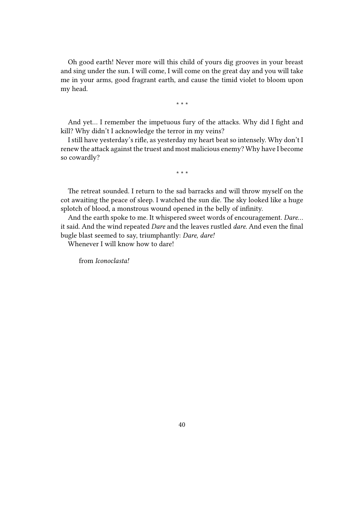Oh good earth! Never more will this child of yours dig grooves in your breast and sing under the sun. I will come, I will come on the great day and you will take me in your arms, good fragrant earth, and cause the timid violet to bloom upon my head.

\* \* \*

And yet… I remember the impetuous fury of the attacks. Why did I fight and kill? Why didn't I acknowledge the terror in my veins?

I still have yesterday's rifle, as yesterday my heart beat so intensely. Why don't I renew the attack against the truest and most malicious enemy? Why have I become so cowardly?

\* \* \*

The retreat sounded. I return to the sad barracks and will throw myself on the cot awaiting the peace of sleep. I watched the sun die. The sky looked like a huge splotch of blood, a monstrous wound opened in the belly of infinity.

And the earth spoke to me. It whispered sweet words of encouragement. *Dare…* it said. And the wind repeated *Dare* and the leaves rustled *dare.* And even the final bugle blast seemed to say, triumphantly: *Dare, dare!*

Whenever I will know how to dare!

from *Iconoclasta!*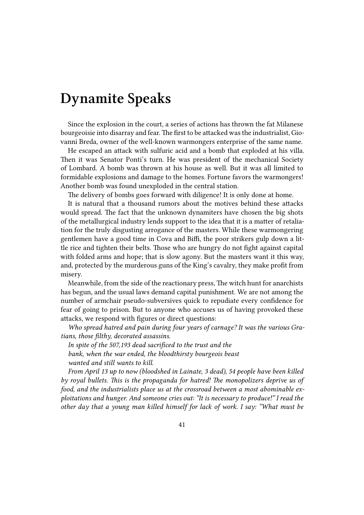#### **Dynamite Speaks**

Since the explosion in the court, a series of actions has thrown the fat Milanese bourgeoisie into disarray and fear.The first to be attacked was the industrialist, Giovanni Breda, owner of the well-known warmongers enterprise of the same name.

He escaped an attack with sulfuric acid and a bomb that exploded at his villa. Then it was Senator Ponti's turn. He was president of the mechanical Society of Lombard. A bomb was thrown at his house as well. But it was all limited to formidable explosions and damage to the homes. Fortune favors the warmongers! Another bomb was found unexploded in the central station.

The delivery of bombs goes forward with diligence! It is only done at home.

It is natural that a thousand rumors about the motives behind these attacks would spread. The fact that the unknown dynamiters have chosen the big shots of the metallurgical industry lends support to the idea that it is a matter of retaliation for the truly disgusting arrogance of the masters. While these warmongering gentlemen have a good time in Cova and Biffi, the poor strikers gulp down a little rice and tighten their belts. Those who are hungry do not fight against capital with folded arms and hope; that is slow agony. But the masters want it this way, and, protected by the murderous guns of the King's cavalry, they make profit from misery.

Meanwhile, from the side of the reactionary press, The witch hunt for anarchists has begun, and the usual laws demand capital punishment. We are not among the number of armchair pseudo-subversives quick to repudiate every confidence for fear of going to prison. But to anyone who accuses us of having provoked these attacks, we respond with figures or direct questions:

*Who spread hatred and pain during four years of carnage? It was the various Gratians, those filthy, decorated assassins.*

*In spite of the 507,193 dead sacrificed to the trust and the bank, when the war ended, the bloodthirsty bourgeois beast wanted and still wants to kill.*

*From April 13 up to now (bloodshed in Lainate, 3 dead), 54 people have been killed by royal bullets. This is the propaganda for hatred! The monopolizers deprive us of food, and the industrialists place us at the crossroad between a most abominable exploitations and hunger. And someone cries out: "It is necessary to produce!" I read the other day that a young man killed himself for lack of work. I say: "What must be*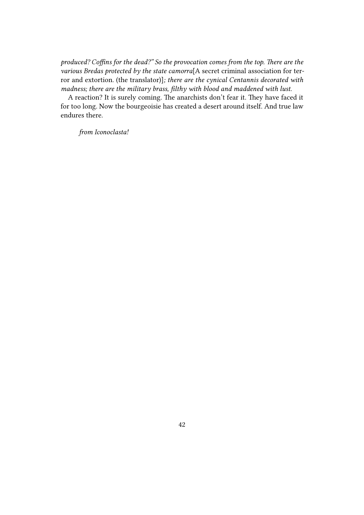*produced? Coffins for the dead?" So the provocation comes from the top. There are the various Bredas protected by the state camorra*[A secret criminal association for terror and extortion. (the translator)]*; there are the cynical Centannis decorated with madness; there are the military brass, filthy with blood and maddened with lust.*

A reaction? It is surely coming. The anarchists don't fear it. They have faced it for too long. Now the bourgeoisie has created a desert around itself. And true law endures there.

*from Iconoclasta!*